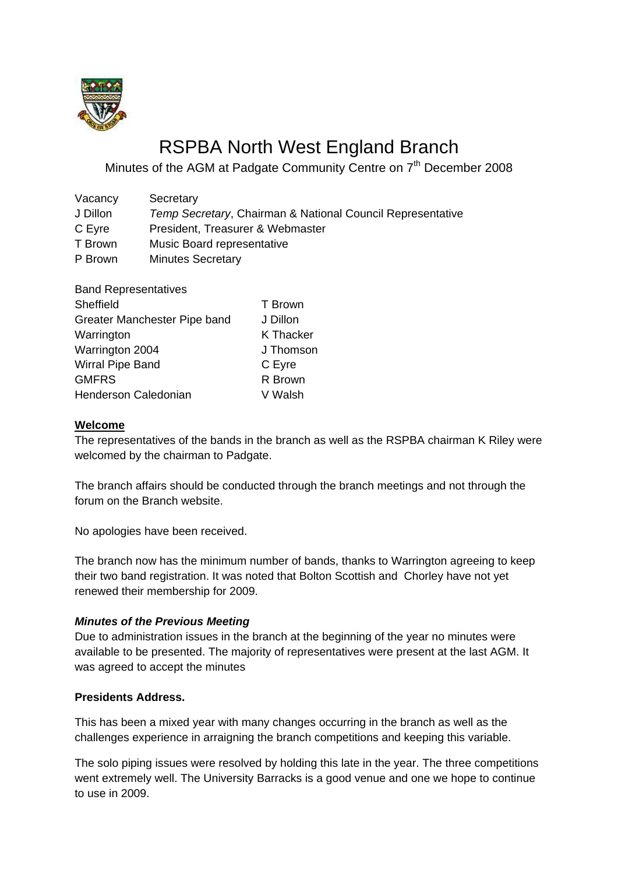

# RSPBA North West England Branch

Minutes of the AGM at Padgate Community Centre on 7<sup>th</sup> December 2008

| Secretary                                                  |
|------------------------------------------------------------|
| Temp Secretary, Chairman & National Council Representative |
| President, Treasurer & Webmaster                           |
| Music Board representative                                 |
| <b>Minutes Secretary</b>                                   |
|                                                            |

| <b>Band Representatives</b>  |           |
|------------------------------|-----------|
| Sheffield                    | T Brown   |
| Greater Manchester Pipe band | J Dillon  |
| Warrington                   | K Thacker |
| Warrington 2004              | J Thomson |
| Wirral Pipe Band             | C Eyre    |
| <b>GMFRS</b>                 | R Brown   |
| <b>Henderson Caledonian</b>  | V Walsh   |
|                              |           |

## **Welcome**

The representatives of the bands in the branch as well as the RSPBA chairman K Riley were welcomed by the chairman to Padgate.

The branch affairs should be conducted through the branch meetings and not through the forum on the Branch website.

No apologies have been received.

The branch now has the minimum number of bands, thanks to Warrington agreeing to keep their two band registration. It was noted that Bolton Scottish and Chorley have not yet renewed their membership for 2009.

## *Minutes of the Previous Meeting*

Due to administration issues in the branch at the beginning of the year no minutes were available to be presented. The majority of representatives were present at the last AGM. It was agreed to accept the minutes

## **Presidents Address.**

This has been a mixed year with many changes occurring in the branch as well as the challenges experience in arraigning the branch competitions and keeping this variable.

The solo piping issues were resolved by holding this late in the year. The three competitions went extremely well. The University Barracks is a good venue and one we hope to continue to use in 2009.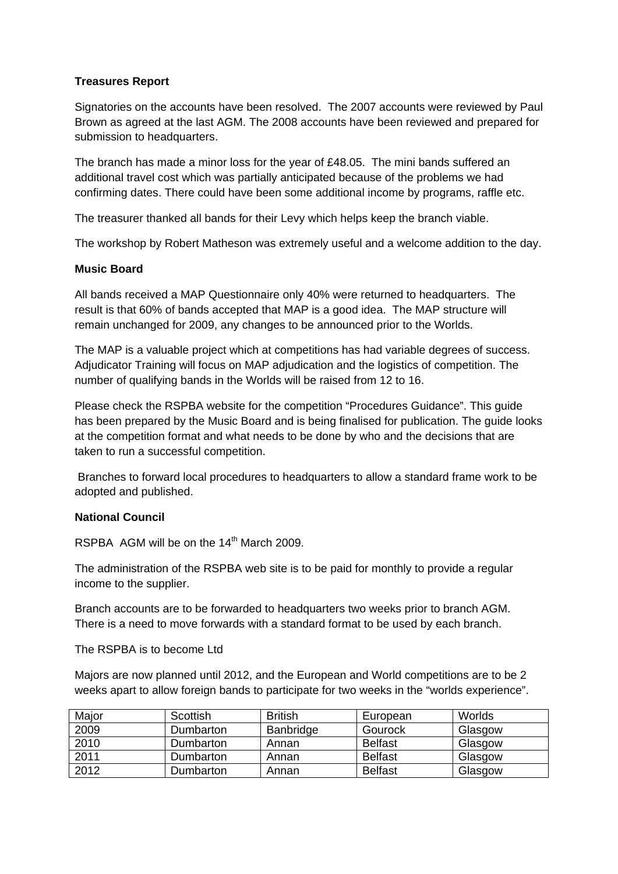## **Treasures Report**

Signatories on the accounts have been resolved. The 2007 accounts were reviewed by Paul Brown as agreed at the last AGM. The 2008 accounts have been reviewed and prepared for submission to headquarters.

The branch has made a minor loss for the year of £48.05. The mini bands suffered an additional travel cost which was partially anticipated because of the problems we had confirming dates. There could have been some additional income by programs, raffle etc.

The treasurer thanked all bands for their Levy which helps keep the branch viable.

The workshop by Robert Matheson was extremely useful and a welcome addition to the day.

#### **Music Board**

All bands received a MAP Questionnaire only 40% were returned to headquarters. The result is that 60% of bands accepted that MAP is a good idea. The MAP structure will remain unchanged for 2009, any changes to be announced prior to the Worlds.

The MAP is a valuable project which at competitions has had variable degrees of success. Adjudicator Training will focus on MAP adjudication and the logistics of competition. The number of qualifying bands in the Worlds will be raised from 12 to 16.

Please check the RSPBA website for the competition "Procedures Guidance". This guide has been prepared by the Music Board and is being finalised for publication. The guide looks at the competition format and what needs to be done by who and the decisions that are taken to run a successful competition.

 Branches to forward local procedures to headquarters to allow a standard frame work to be adopted and published.

## **National Council**

RSPBA AGM will be on the 14<sup>th</sup> March 2009.

The administration of the RSPBA web site is to be paid for monthly to provide a regular income to the supplier.

Branch accounts are to be forwarded to headquarters two weeks prior to branch AGM. There is a need to move forwards with a standard format to be used by each branch.

#### The RSPBA is to become Ltd

Majors are now planned until 2012, and the European and World competitions are to be 2 weeks apart to allow foreign bands to participate for two weeks in the "worlds experience".

| Major | Scottish  | <b>British</b> | European       | Worlds  |
|-------|-----------|----------------|----------------|---------|
| 2009  | Dumbarton | Banbridge      | Gourock        | Glasgow |
| 2010  | Dumbarton | Annan          | <b>Belfast</b> | Glasgow |
| 2011  | Dumbarton | Annan          | <b>Belfast</b> | Glasgow |
| 2012  | Dumbarton | Annan          | <b>Belfast</b> | Glasgow |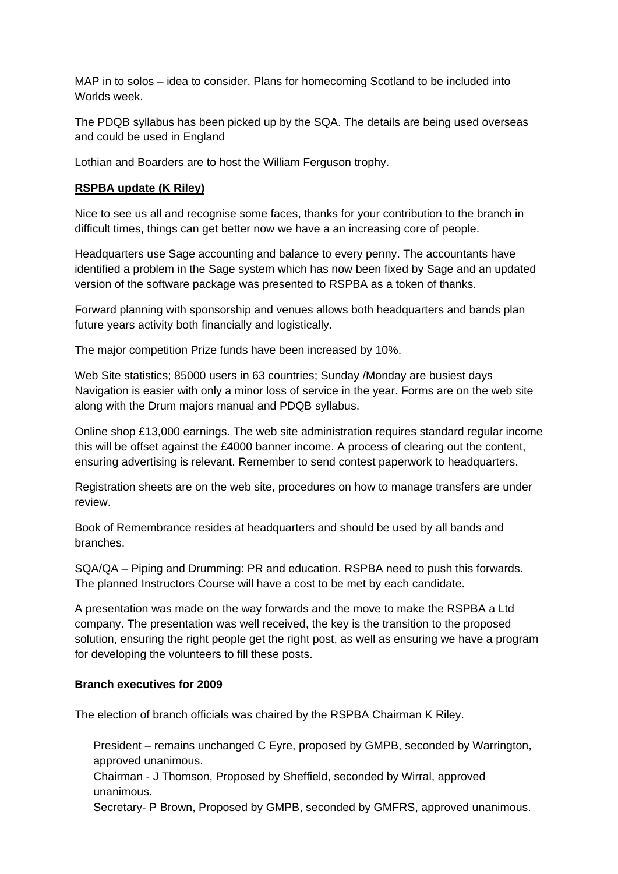MAP in to solos – idea to consider. Plans for homecoming Scotland to be included into Worlds week.

The PDQB syllabus has been picked up by the SQA. The details are being used overseas and could be used in England

Lothian and Boarders are to host the William Ferguson trophy.

## **RSPBA update (K Riley)**

Nice to see us all and recognise some faces, thanks for your contribution to the branch in difficult times, things can get better now we have a an increasing core of people.

Headquarters use Sage accounting and balance to every penny. The accountants have identified a problem in the Sage system which has now been fixed by Sage and an updated version of the software package was presented to RSPBA as a token of thanks.

Forward planning with sponsorship and venues allows both headquarters and bands plan future years activity both financially and logistically.

The major competition Prize funds have been increased by 10%.

Web Site statistics; 85000 users in 63 countries; Sunday *(Monday are busiest days*) Navigation is easier with only a minor loss of service in the year. Forms are on the web site along with the Drum majors manual and PDQB syllabus.

Online shop £13,000 earnings. The web site administration requires standard regular income this will be offset against the £4000 banner income. A process of clearing out the content, ensuring advertising is relevant. Remember to send contest paperwork to headquarters.

Registration sheets are on the web site, procedures on how to manage transfers are under review.

Book of Remembrance resides at headquarters and should be used by all bands and branches.

SQA/QA – Piping and Drumming: PR and education. RSPBA need to push this forwards. The planned Instructors Course will have a cost to be met by each candidate.

A presentation was made on the way forwards and the move to make the RSPBA a Ltd company. The presentation was well received, the key is the transition to the proposed solution, ensuring the right people get the right post, as well as ensuring we have a program for developing the volunteers to fill these posts.

## **Branch executives for 2009**

The election of branch officials was chaired by the RSPBA Chairman K Riley.

 President – remains unchanged C Eyre, proposed by GMPB, seconded by Warrington, approved unanimous.

 Chairman - J Thomson, Proposed by Sheffield, seconded by Wirral, approved unanimous.

Secretary- P Brown, Proposed by GMPB, seconded by GMFRS, approved unanimous.